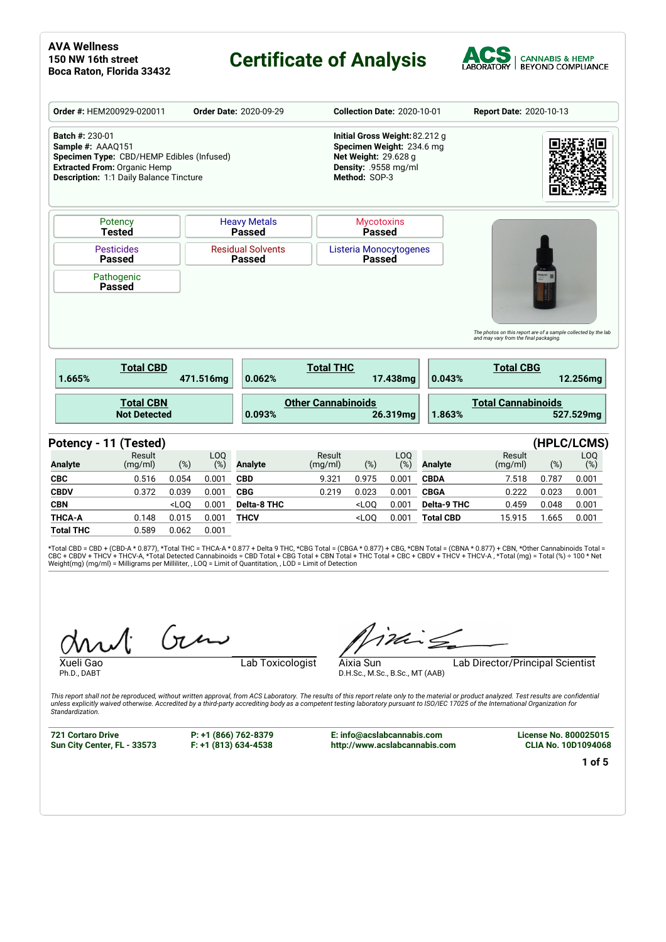# **Certificate of Analysis**



|                                             | Order #: HEM200929-020011                                                                                                          |         |                        | <b>Order Date: 2020-09-29</b>        |                           | <b>Collection Date: 2020-10-01</b>                                                                                           |            |                    | Report Date: 2020-10-13                                                                                                      |       |                              |
|---------------------------------------------|------------------------------------------------------------------------------------------------------------------------------------|---------|------------------------|--------------------------------------|---------------------------|------------------------------------------------------------------------------------------------------------------------------|------------|--------------------|------------------------------------------------------------------------------------------------------------------------------|-------|------------------------------|
| <b>Batch #: 230-01</b><br>Sample #: AAAQ151 | Specimen Type: CBD/HEMP Edibles (Infused)<br><b>Extracted From: Organic Hemp</b><br><b>Description: 1:1 Daily Balance Tincture</b> |         |                        |                                      |                           | Initial Gross Weight: 82.212 g<br>Specimen Weight: 234.6 mg<br>Net Weight: 29.628 g<br>Density: .9558 mg/ml<br>Method: SOP-3 |            |                    |                                                                                                                              |       |                              |
|                                             | Potency<br><b>Tested</b>                                                                                                           |         |                        | <b>Heavy Metals</b><br><b>Passed</b> |                           | <b>Mycotoxins</b><br><b>Passed</b>                                                                                           |            |                    |                                                                                                                              |       |                              |
|                                             | <b>Pesticides</b><br><b>Passed</b>                                                                                                 |         |                        | <b>Residual Solvents</b><br>Passed   |                           | Listeria Monocytogenes<br><b>Passed</b>                                                                                      |            |                    |                                                                                                                              |       |                              |
|                                             | Pathogenic                                                                                                                         |         |                        |                                      |                           |                                                                                                                              |            |                    |                                                                                                                              |       |                              |
|                                             |                                                                                                                                    |         |                        |                                      |                           |                                                                                                                              |            |                    |                                                                                                                              |       |                              |
|                                             | <b>Passed</b>                                                                                                                      |         |                        |                                      |                           |                                                                                                                              |            |                    |                                                                                                                              |       |                              |
| 1.665%                                      | <b>Total CBD</b>                                                                                                                   |         | 471.516mg              | 0.062%                               | <b>Total THC</b>          |                                                                                                                              | 17.438mg   | 0.043%             | The photos on this report are of a sample collected by the lab<br>and may vary from the final packaging.<br><b>Total CBG</b> |       | 12.256mg                     |
|                                             | <b>Total CBN</b><br><b>Not Detected</b>                                                                                            |         |                        | 0.093%                               | <b>Other Cannabinoids</b> |                                                                                                                              | 26.319mg   | 1.863%             | <b>Total Cannabinoids</b>                                                                                                    |       | 527.529mg                    |
|                                             |                                                                                                                                    |         |                        |                                      |                           |                                                                                                                              |            |                    |                                                                                                                              |       |                              |
| <b>Analyte</b>                              | Potency - 11 (Tested)<br>Result<br>(mg/ml)                                                                                         | (%)     | LO <sub>O</sub><br>(%) | <b>Analyte</b>                       | Result<br>(mg/ml)         | $(\%)$                                                                                                                       | LOQ<br>(%) | <b>Analyte</b>     | Result<br>(mg/ml)                                                                                                            | (%)   | (HPLC/LCMS)<br>LOQ<br>$(\%)$ |
| <b>CBC</b>                                  | 0.516                                                                                                                              | 0.054   | 0.001                  | <b>CBD</b>                           | 9.321                     | 0.975                                                                                                                        | 0.001      | <b>CBDA</b>        | 7.518                                                                                                                        | 0.787 | 0.001                        |
| <b>CBDV</b>                                 | 0.372                                                                                                                              | 0.039   | 0.001                  | <b>CBG</b>                           | 0.219                     | 0.023                                                                                                                        | 0.001      | <b>CBGA</b>        | 0.222                                                                                                                        | 0.023 | 0.001                        |
| <b>CBN</b>                                  |                                                                                                                                    | $<$ LOO | 0.001                  | <b>Delta-8 THC</b>                   |                           | $<$ LOO                                                                                                                      | 0.001      | <b>Delta-9 THC</b> | 0.459                                                                                                                        | 0.048 | 0.001                        |

**Total THC** 0.589 0.062 0.001

\*Total CBD = CBD + (CBD-A \* 0.877), \*Total THC = THCA-A \* 0.877 + Delta 9 THC, \*CBG Total = (CBGA \* 0.877) + CBG, \*CBN Total = (CBNA \* 0.877) + CBN, \*Other Cannabinoids Total =<br>CBC + CBDV + THCV + THCV-A, \*Total Detected C

 $(n\mu)$ 

Ph.D., DABT

Xueli Gao **Lab Toxicologist** 

 $\acute{i}$ Min $\leq$ 

D.H.Sc., M.Sc., B.Sc., MT (AAB)

Aixia Sun Lab Director/Principal Scientist

This report shall not be reproduced, without written approval, from ACS Laboratory. The results of this report relate only to the material or product analyzed. Test results are confidential<br>unless explicitly waived otherwi *Standardization.*

**721 Cortaro Drive Sun City Center, FL - 33573** **P: +1 (866) 762-8379 F: +1 (813) 634-4538** **E: info@acslabcannabis.com http://www.acslabcannabis.com** **License No. 800025015 CLIA No. 10D1094068**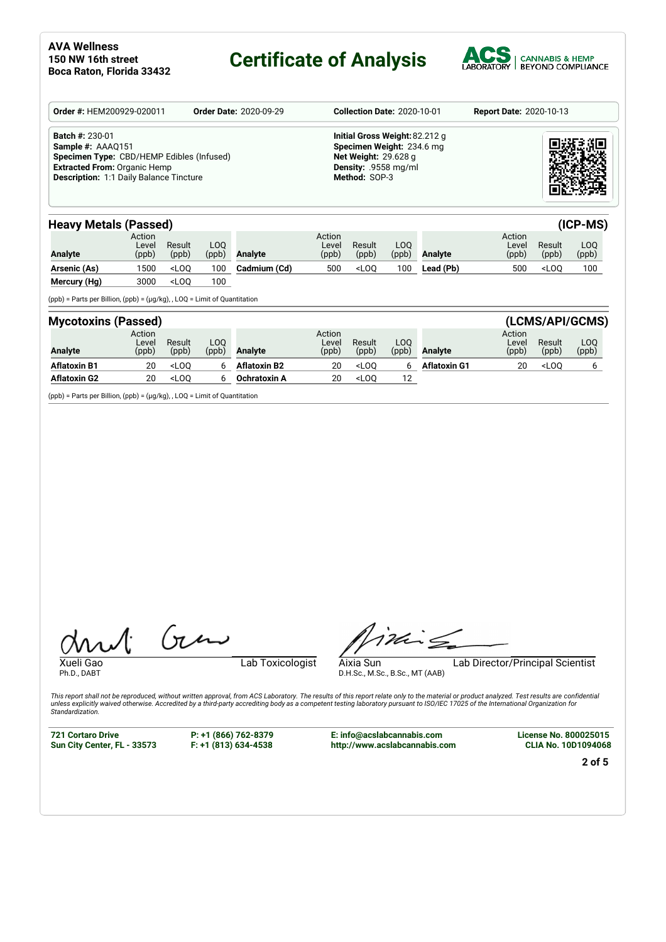## **Certificate of Analysis**



| Order #: HEM200929-020011                                                                                                                                                         | <b>Order Date: 2020-09-29</b> | <b>Collection Date: 2020-10-01</b>                                                                                                  | <b>Report Date: 2020-10-13</b> |
|-----------------------------------------------------------------------------------------------------------------------------------------------------------------------------------|-------------------------------|-------------------------------------------------------------------------------------------------------------------------------------|--------------------------------|
| <b>Batch #: 230-01</b><br>Sample #: AAAQ151<br>Specimen Type: CBD/HEMP Edibles (Infused)<br><b>Extracted From: Organic Hemp</b><br><b>Description: 1:1 Daily Balance Tincture</b> |                               | Initial Gross Weight: 82.212 g<br>Specimen Weight: 234.6 mg<br><b>Net Weight: 29.628 g</b><br>Density: .9558 mg/ml<br>Method: SOP-3 |                                |

| <b>Heavy Metals (Passed)</b> |                          |                 |              |                |                          |                                                                                                        |               |                | $(ICP-MS)$               |                 |              |
|------------------------------|--------------------------|-----------------|--------------|----------------|--------------------------|--------------------------------------------------------------------------------------------------------|---------------|----------------|--------------------------|-----------------|--------------|
| <b>Analyte</b>               | Action<br>Level<br>(ppb) | Result<br>(ppb) | LOO<br>(ppb) | <b>Analyte</b> | Action<br>Level<br>(ppb) | Result<br>(ppb)                                                                                        | LOQ.<br>(ppb) | <b>Analyte</b> | Action<br>Level<br>(ppb) | Result<br>(ppb) | LOO<br>(ppb) |
| Arsenic (As)                 | 1500                     | $<$ LOO         | 100          | Cadmium (Cd)   | 500                      | <l00< th=""><th>100</th><th>Lead (Pb)</th><th>500</th><th><math>&lt;</math>LOO</th><th>100</th></l00<> | 100           | Lead (Pb)      | 500                      | $<$ LOO         | 100          |
| Mercury (Hg)                 | 3000                     | $<$ LOO         | 100          |                |                          |                                                                                                        |               |                |                          |                 |              |

(ppb) = Parts per Billion, (ppb) = (µg/kg), , LOQ = Limit of Quantitation

| <b>Mycotoxins (Passed)</b> |                          |                 |              |                     |                          |                 |               |                     |                          |                 | (LCMS/API/GCMS) |
|----------------------------|--------------------------|-----------------|--------------|---------------------|--------------------------|-----------------|---------------|---------------------|--------------------------|-----------------|-----------------|
| <b>Analyte</b>             | Action<br>Level<br>(ppb) | Result<br>(ppb) | LOO<br>(ppb) | <b>Analyte</b>      | Action<br>Level<br>(ppb) | Result<br>(ppb) | LOO.<br>(ppb) | <b>Analyte</b>      | Action<br>Level<br>(ppb) | Result<br>(ppb) | LOQ<br>(ppb)    |
| <b>Aflatoxin B1</b>        | 20                       | $<$ LOO         |              | <b>Aflatoxin B2</b> | 20                       | $<$ LOO         |               | <b>Aflatoxin G1</b> | 20                       | $<$ LOO         |                 |
| <b>Aflatoxin G2</b>        | 20                       | $<$ LOO         |              | <b>Ochratoxin A</b> | 20                       | $<$ LOO         | 12            |                     |                          |                 |                 |

(ppb) = Parts per Billion, (ppb) = (µg/kg), , LOQ = Limit of Quantitation

Ph.D., DABT

Xueli Gao **Lab Toxicologist** 

Timis

D.H.Sc., M.Sc., B.Sc., MT (AAB)

Aixia Sun Lab Director/Principal Scientist

This report shall not be reproduced, without written approval, from ACS Laboratory. The results of this report relate only to the material or product analyzed. Test results are confidential<br>unless explicitly waived otherwi *Standardization.*

**721 Cortaro Drive Sun City Center, FL - 33573** **P: +1 (866) 762-8379 F: +1 (813) 634-4538**

 $(n)$ 

**E: info@acslabcannabis.com http://www.acslabcannabis.com** **License No. 800025015 CLIA No. 10D1094068**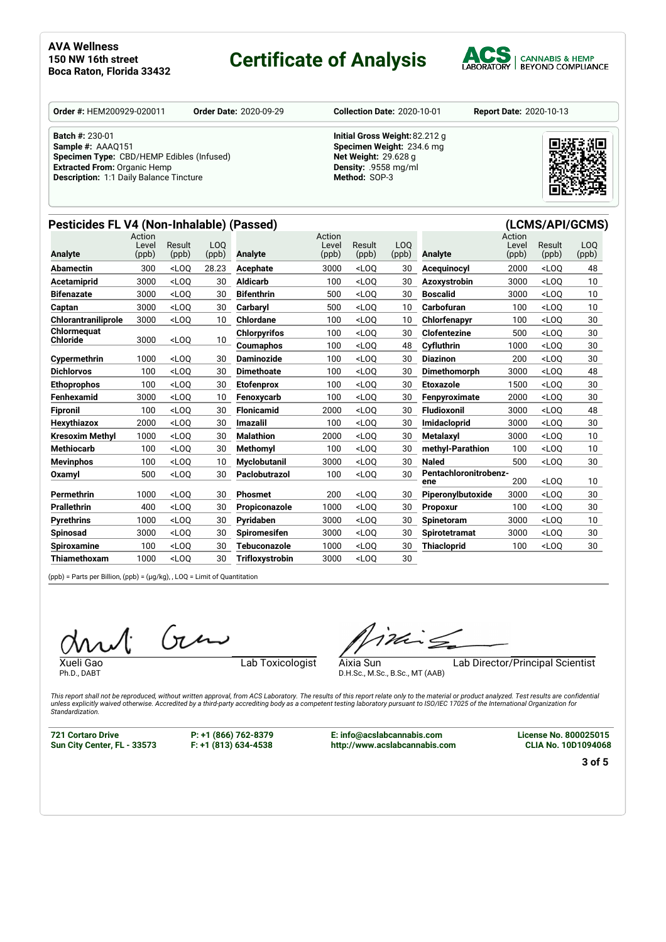# **Certificate of Analysis**



**Order #:** HEM200929-020011 **Order Date:** 2020-09-29 **Collection Date:** 2020-10-01 **Report Date:** 2020-10-13

**Batch #:** 230-01

**Sample #:** AAAQ151 **Specimen Type:** CBD/HEMP Edibles (Infused) **Extracted From:** Organic Hemp **Description:** 1:1 Daily Balance Tincture

**Initial Gross Weight:**82.212 g **Specimen Weight:** 234.6 mg **Net Weight:** 29.628 g **Density:** .9558 mg/ml **Method:** SOP-3



### **Pesticides FL V4 (Non-Inhalable) (Passed) (LCMS/API/GCMS)**

| <b>Analyte</b>      | Action<br>Level<br>(ppb) | Result<br>(ppb) | L <sub>O</sub> O<br>(ppb) | <b>Analyte</b>         | Action<br>Level<br>(ppb) | Result<br>(ppb)                                                                                                                      | L <sub>0</sub> 0<br>(ppb) | <b>Analyte</b>               | Action<br>Level<br>(ppb) | Result<br>(ppb) | LO <sub>0</sub><br>(ppb) |
|---------------------|--------------------------|-----------------|---------------------------|------------------------|--------------------------|--------------------------------------------------------------------------------------------------------------------------------------|---------------------------|------------------------------|--------------------------|-----------------|--------------------------|
| Abamectin           | 300                      | $<$ LOO         | 28.23                     | Acephate               | 3000                     | $<$ LOO                                                                                                                              | 30                        | Acequinocyl                  | 2000                     | $<$ LOO         | 48                       |
| Acetamiprid         | 3000                     | $<$ LOO         | 30                        | Aldicarb               | 100                      | $<$ LOO                                                                                                                              | 30                        | Azoxystrobin                 | 3000                     | $<$ LOO         | 10 <sup>1</sup>          |
| <b>Bifenazate</b>   | 3000                     | $<$ LOO         | 30                        | <b>Bifenthrin</b>      | 500                      | $<$ LOQ                                                                                                                              | 30                        | <b>Boscalid</b>              | 3000                     | $<$ LOO         | 10 <sup>1</sup>          |
| Captan              | 3000                     | $<$ LOO         | 30                        | Carbarvl               | 500                      | $<$ LOO                                                                                                                              | 10                        | Carbofuran                   | 100                      | $<$ LOO         | 10 <sup>°</sup>          |
| Chlorantraniliprole | 3000                     | $<$ LOO         | 10                        | Chlordane              | 100                      | $<$ LOO                                                                                                                              | 10                        | Chlorfenapyr                 | 100                      | $<$ LOO         | 30                       |
| Chlormequat         |                          | $<$ LOO         |                           | <b>Chlorpyrifos</b>    | 100                      | $<$ LOO                                                                                                                              | 30                        | <b>Clofentezine</b>          | 500                      | $<$ LOO         | 30                       |
| Chloride            | 3000                     |                 | 10 <sup>°</sup>           | Coumaphos              | 100                      | <loq< th=""><th>48</th><th>Cyfluthrin</th><th>1000</th><th><math>&lt;</math>LOO</th><th>30</th></loq<>                               | 48                        | Cyfluthrin                   | 1000                     | $<$ LOO         | 30                       |
| Cypermethrin        | 1000                     | $<$ LOO         | 30                        | <b>Daminozide</b>      | 100                      | $<$ LOO                                                                                                                              | 30                        | <b>Diazinon</b>              | 200                      | $<$ LOO         | 30                       |
| <b>Dichlorvos</b>   | 100                      | $<$ LOO         | 30                        | <b>Dimethoate</b>      | 100                      | $<$ LOO                                                                                                                              | 30                        | <b>Dimethomorph</b>          | 3000                     | $<$ LOO         | 48                       |
| <b>Ethoprophos</b>  | 100                      | $<$ LOO         | 30                        | <b>Etofenprox</b>      | 100                      | $<$ LOO                                                                                                                              | 30                        | <b>Etoxazole</b>             | 1500                     | $<$ LOO         | 30                       |
| Fenhexamid          | 3000                     | $<$ LOO         | 10                        | Fenoxycarb             | 100                      | $<$ LOO                                                                                                                              | 30                        | Fenpyroximate                | 2000                     | $<$ LOQ         | 30                       |
| <b>Fipronil</b>     | 100                      | $<$ LOO         | 30                        | <b>Flonicamid</b>      | 2000                     | $<$ LOO                                                                                                                              | 30                        | <b>Fludioxonil</b>           | 3000                     | $<$ LOO         | 48                       |
| Hexythiazox         | 2000                     | $<$ LOO         | 30                        | <b>Imazalil</b>        | 100                      | $<$ LOO                                                                                                                              | 30                        | Imidacloprid                 | 3000                     | $<$ LOO         | 30                       |
| Kresoxim Methyl     | 1000                     | $<$ LOO         | 30                        | <b>Malathion</b>       | 2000                     | $<$ LOO                                                                                                                              | 30                        | Metalaxyl                    | 3000                     | $<$ LOO         | 10 <sup>1</sup>          |
| <b>Methiocarb</b>   | 100                      | $<$ LOO         | 30                        | <b>Methomvl</b>        | 100                      | $<$ LOO                                                                                                                              | 30                        | methyl-Parathion             | 100                      | $<$ LOO         | 10 <sup>°</sup>          |
| <b>Mevinphos</b>    | 100                      | $<$ LOO         | 10                        | <b>Myclobutanil</b>    | 3000                     | $<$ LOO                                                                                                                              | 30                        | <b>Naled</b>                 | 500                      | $<$ LOO         | 30                       |
| Oxamyl              | 500                      | $<$ LOO         | 30                        | Paclobutrazol          | 100                      | <loq< th=""><th>30</th><th>Pentachloronitrobenz-<br/>ene</th><th>200</th><th><math>&lt;</math>LOO</th><th>10<sup>1</sup></th></loq<> | 30                        | Pentachloronitrobenz-<br>ene | 200                      | $<$ LOO         | 10 <sup>1</sup>          |
| <b>Permethrin</b>   | 1000                     | $<$ LOO         | 30                        | <b>Phosmet</b>         | 200                      | $<$ LOO                                                                                                                              | 30                        | Piperonylbutoxide            | 3000                     | $<$ LOO         | 30                       |
| <b>Prallethrin</b>  | 400                      | $<$ LOO         | 30                        | Propiconazole          | 1000                     | $<$ LOO                                                                                                                              | 30                        | <b>Propoxur</b>              | 100                      | $<$ LOO         | 30                       |
| <b>Pyrethrins</b>   | 1000                     | $<$ LOO         | 30                        | Pvridaben              | 3000                     | $<$ LOO                                                                                                                              | 30                        | <b>Spinetoram</b>            | 3000                     | $<$ LOO         | 10 <sup>°</sup>          |
| Spinosad            | 3000                     | $<$ LOO         | 30                        | <b>Spiromesifen</b>    | 3000                     | $<$ LOO                                                                                                                              | 30                        | <b>Spirotetramat</b>         | 3000                     | $<$ LOO         | 30                       |
| <b>Spiroxamine</b>  | 100                      | $<$ LOO         | 30                        | Tebuconazole           | 1000                     | $<$ LOQ                                                                                                                              | 30                        | <b>Thiacloprid</b>           | 100                      | $<$ LOO         | 30                       |
| Thiamethoxam        | 1000                     | $<$ LOO         | 30                        | <b>Trifloxystrobin</b> | 3000                     | $<$ LOO                                                                                                                              | 30                        |                              |                          |                 |                          |
|                     |                          |                 |                           |                        |                          |                                                                                                                                      |                           |                              |                          |                 |                          |

(ppb) = Parts per Billion, (ppb) = (µg/kg), , LOQ = Limit of Quantitation

 $(n\mu)$ 

Ph.D., DABT

Xueli Gao **Lab Toxicologist** 

ithing

D.H.Sc., M.Sc., B.Sc., MT (AAB)

Aixia Sun Lab Director/Principal Scientist

This report shall not be reproduced, without written approval, from ACS Laboratory. The results of this report relate only to the material or product analyzed. Test results are confidential<br>unless explicitly waived otherwi *Standardization.*

**721 Cortaro Drive Sun City Center, FL - 33573**

**P: +1 (866) 762-8379 F: +1 (813) 634-4538** **E: info@acslabcannabis.com http://www.acslabcannabis.com** **License No. 800025015 CLIA No. 10D1094068**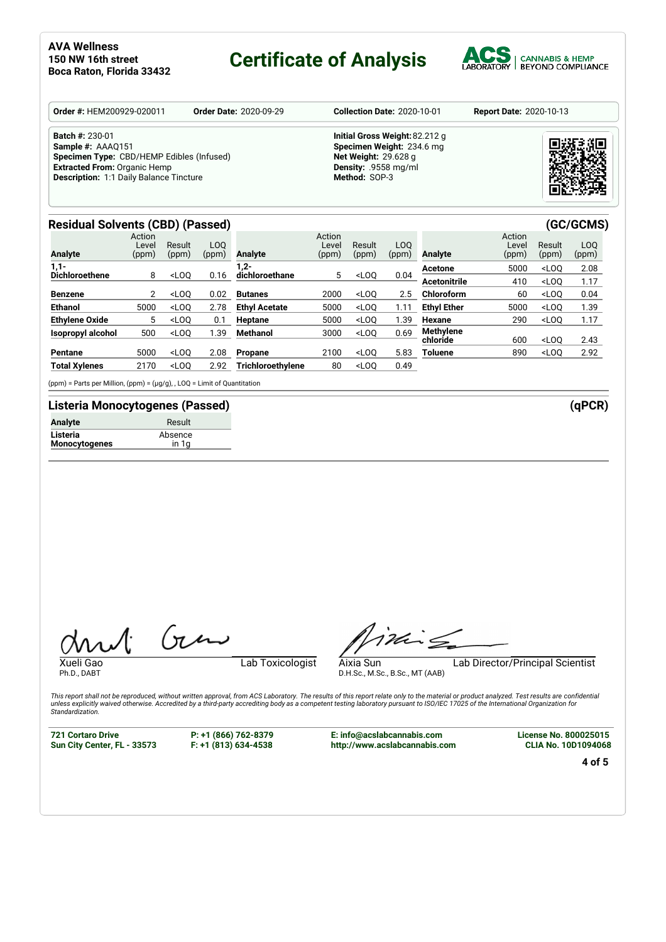## **Certificate of Analysis**



| <b>Batch #: 230-01</b><br>Initial Gross Weight: 82.212 g<br>Specimen Weight: 234.6 mg<br>Sample #: AAAQ151<br>Specimen Type: CBD/HEMP Edibles (Infused)<br><b>Net Weight: 29.628 g</b><br><b>Extracted From: Organic Hemp</b><br>Density: .9558 mg/ml<br><b>Description: 1:1 Daily Balance Tincture</b><br>Method: SOP-3 | <b>Order #: HEM200929-020011</b> | <b>Order Date: 2020-09-29</b> | <b>Collection Date: 2020-10-01</b> | <b>Report Date: 2020-10-13</b> |
|--------------------------------------------------------------------------------------------------------------------------------------------------------------------------------------------------------------------------------------------------------------------------------------------------------------------------|----------------------------------|-------------------------------|------------------------------------|--------------------------------|
|                                                                                                                                                                                                                                                                                                                          |                                  |                               |                                    |                                |

### **Residual Solvents (CBD) (Passed) (GC/GCMS)**

| <b>Analyte</b>        | Action<br>Level<br>(ppm) | Result<br>(ppm) | LOO<br>(ppm) | Analyte              | Action<br>Level<br>(ppm) | Result<br>(ppm) | LO <sub>O</sub><br>(ppm) | Analyte             | Action<br>Level<br>(ppm) | Result<br>(ppm) | LOO<br>(ppm) |
|-----------------------|--------------------------|-----------------|--------------|----------------------|--------------------------|-----------------|--------------------------|---------------------|--------------------------|-----------------|--------------|
| $1,1-$                |                          |                 |              | $.2 -$               |                          |                 |                          | Acetone             | 5000                     | $<$ LOO         | 2.08         |
| <b>Dichloroethene</b> | 8                        | $<$ LOO         | 0.16         | dichloroethane       | 5                        | $<$ LOO         | 0.04                     | <b>Acetonitrile</b> | 410                      | $<$ LOO         | 1.17         |
| <b>Benzene</b>        | $\mathbf{2}^{\prime}$    | $<$ LOO         | 0.02         | <b>Butanes</b>       | 2000                     | $<$ LOO         | 2.5                      | Chloroform          | 60                       | $<$ LOO         | 0.04         |
| <b>Ethanol</b>        | 5000                     | $<$ LOO         | 2.78         | <b>Ethyl Acetate</b> | 5000                     | $<$ LOO         | 1.11                     | <b>Ethyl Ether</b>  | 5000                     | $<$ LOO         | 1.39         |
| <b>Ethylene Oxide</b> | 5                        | $<$ LOO         | 0.1          | Heptane              | 5000                     | $<$ LOO         | 1.39                     | Hexane              | 290                      | $<$ LOO         | 1.17         |
| Isopropyl alcohol     | 500                      | $<$ LOO         | l.39         | Methanol             | 3000                     | $<$ LOO         | 0.69                     | <b>Methylene</b>    |                          |                 |              |
|                       |                          |                 |              |                      |                          |                 |                          | chloride            | 600                      | $<$ LOO         | 2.43         |
| Pentane               | 5000                     | $<$ LOO         | 2.08         | Propane              | 2100                     | $<$ LOO         | 5.83                     | Toluene             | 890                      | $<$ LOO         | 2.92         |
| <b>Total Xylenes</b>  | 2170                     | $<$ LOO         | 2.92         | Trichloroethylene    | 80                       | $<$ LOQ         | 0.49                     |                     |                          |                 |              |

(ppm) = Parts per Million, (ppm) = (µg/g), , LOQ = Limit of Quantitation

### **Listeria Monocytogenes (Passed) (qPCR)**

| <b>Analyte</b> | Result  |
|----------------|---------|
| Listeria       | Absence |
| Monocytogenes  | in 1a   |

Ph.D., DABT

Xueli Gao Lab Toxicologist

Timis

D.H.Sc., M.Sc., B.Sc., MT (AAB)

Aixia Sun Lab Director/Principal Scientist

This report shall not be reproduced, without written approval, from ACS Laboratory. The results of this report relate only to the material or product analyzed. Test results are confidential<br>unless explicitly waived otherwi *Standardization.*

**721 Cortaro Drive Sun City Center, FL - 33573** **P: +1 (866) 762-8379 F: +1 (813) 634-4538**

Gen

**E: info@acslabcannabis.com http://www.acslabcannabis.com** **License No. 800025015 CLIA No. 10D1094068**